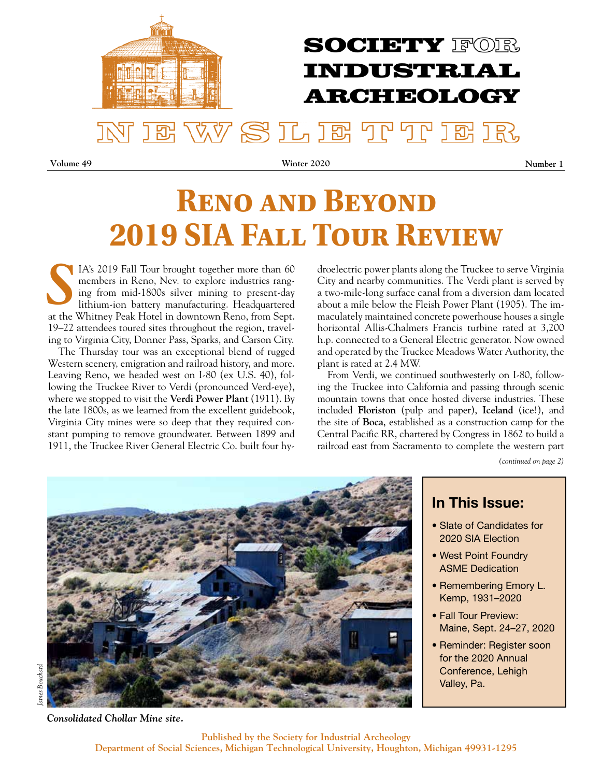

# **RENO AND BEYOND 2019 SIA Fall Tour Review**

IA's 2019 Fall Tour brought together more than 60 members in Reno, Nev. to explore industries ranging from mid-1800s silver mining to present-day lithium-ion battery manufacturing. Headquartered at the Whitney Peak Hotel in downtown Reno, from Sept. 19–22 attendees toured sites throughout the region, traveling to Virginia City, Donner Pass, Sparks, and Carson City. *S*

The Thursday tour was an exceptional blend of rugged Western scenery, emigration and railroad history, and more. Leaving Reno, we headed west on I-80 (ex U.S. 40), following the Truckee River to Verdi (pronounced Verd-eye), where we stopped to visit the **Verdi Power Plant** (1911). By the late 1800s, as we learned from the excellent guidebook, Virginia City mines were so deep that they required constant pumping to remove groundwater. Between 1899 and 1911, the Truckee River General Electric Co. built four hydroelectric power plants along the Truckee to serve Virginia City and nearby communities. The Verdi plant is served by a two-mile-long surface canal from a diversion dam located about a mile below the Fleish Power Plant (1905). The immaculately maintained concrete powerhouse houses a single horizontal Allis-Chalmers Francis turbine rated at 3,200 h.p. connected to a General Electric generator. Now owned and operated by the Truckee Meadows Water Authority, the plant is rated at 2.4 MW.

From Verdi, we continued southwesterly on I-80, following the Truckee into California and passing through scenic mountain towns that once hosted diverse industries. These included **Floriston** (pulp and paper), **Iceland** (ice!), and the site of **Boca**, established as a construction camp for the Central Pacific RR, chartered by Congress in 1862 to build a railroad east from Sacramento to complete the western part

*(continued on page 2)*



### In This Issue:

- Slate of Candidates for 2020 SIA Election
- West Point Foundry ASME Dedication
- Remembering Emory L. Kemp, 1931–2020
- Fall Tour Preview: Maine, Sept. 24–27, 2020
- Reminder: Register soon for the 2020 Annual Conference, Lehigh Valley, Pa.

*Consolidated Chollar Mine site.*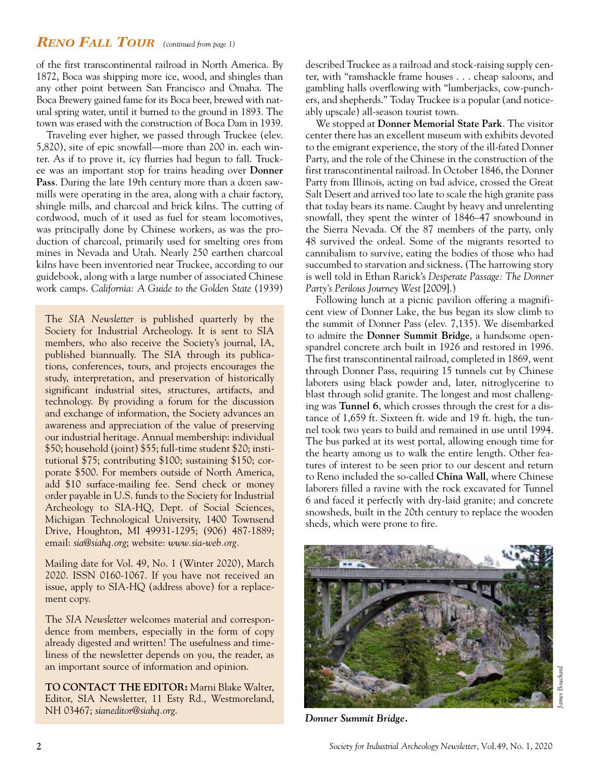#### *Reno Fall Tour (continued from page 1)*

of the first transcontinental railroad in North America. By 1872, Boca was shipping more ice, wood, and shingles than any other point between San Francisco and Omaha. The Boca Brewery gained fame for its Boca beer, brewed with natural spring water, until it burned to the ground in 1893. The town was erased with the construction of Boca Dam in 1939.

Traveling ever higher, we passed through Truckee (elev. 5,820), site of epic snowfall—more than 200 in. each winter. As if to prove it, icy flurries had begun to fall. Truckee was an important stop for trains heading over **Donner Pass**. During the late 19th century more than a dozen sawmills were operating in the area, along with a chair factory, shingle mills, and charcoal and brick kilns. The cutting of cordwood, much of it used as fuel for steam locomotives, was principally done by Chinese workers, as was the production of charcoal, primarily used for smelting ores from mines in Nevada and Utah. Nearly 250 earthen charcoal kilns have been inventoried near Truckee, according to our guidebook, along with a large number of associated Chinese work camps. *California: A Guide to the Golden State* (1939)

The *SIA Newsletter* is published quarterly by the Society for Industrial Archeology. It is sent to SIA members, who also receive the Society's journal, IA, published biannually. The SIA through its publications, conferences, tours, and projects encourages the study, interpretation, and preservation of historically significant industrial sites, structures, artifacts, and technology. By providing a forum for the discussion and exchange of information, the Society advances an awareness and appreciation of the value of preserving our industrial heritage. Annual membership: individual \$50; household (joint) \$55; full-time student \$20; institutional \$75; contributing \$100; sustaining \$150; corporate \$500. For members outside of North America, add \$10 surface-mailing fee. Send check or money order payable in U.S. funds to the Society for Industrial Archeology to SIA-HQ, Dept. of Social Sciences, Michigan Technological University, 1400 Townsend Drive, Houghton, MI 49931-1295; (906) 487-1889; email: *sia@siahq.org*; website: *www.sia-web.org.*

Mailing date for Vol. 49, No. 1 (Winter 2020), March 2020. ISSN 0160-1067. If you have not received an issue, apply to SIA-HQ (address above) for a replacement copy.

The *SIA Newsletter* welcomes material and correspondence from members, especially in the form of copy already digested and written! The usefulness and timeliness of the newsletter depends on you, the reader, as an important source of information and opinion.

**TO CONTACT THE EDITOR:** Marni Blake Walter, Editor, SIA Newsletter, 11 Esty Rd., Westmoreland, NH 03467; *sianeditor@siahq.org*.

described Truckee as a railroad and stock-raising supply center, with "ramshackle frame houses . . . cheap saloons, and gambling halls overflowing with "lumberjacks, cow-punchers, and shepherds." Today Truckee is a popular (and noticeably upscale) all-season tourist town.

We stopped at **Donner Memorial State Park**. The visitor center there has an excellent museum with exhibits devoted to the emigrant experience, the story of the ill-fated Donner Party, and the role of the Chinese in the construction of the first transcontinental railroad. In October 1846, the Donner Party from Illinois, acting on bad advice, crossed the Great Salt Desert and arrived too late to scale the high granite pass that today bears its name. Caught by heavy and unrelenting snowfall, they spent the winter of 1846–47 snowbound in the Sierra Nevada. Of the 87 members of the party, only 48 survived the ordeal. Some of the migrants resorted to cannibalism to survive, eating the bodies of those who had succumbed to starvation and sickness. (The harrowing story is well told in Ethan Rarick's *Desperate Passage: The Donner Party's Perilous Journey West* [2009].)

Following lunch at a picnic pavilion offering a magnificent view of Donner Lake, the bus began its slow climb to the summit of Donner Pass (elev. 7,135). We disembarked to admire the **Donner Summit Bridge**, a handsome openspandrel concrete arch built in 1926 and restored in 1996. The first transcontinental railroad, completed in 1869, went through Donner Pass, requiring 15 tunnels cut by Chinese laborers using black powder and, later, nitroglycerine to blast through solid granite. The longest and most challenging was **Tunnel 6**, which crosses through the crest for a distance of 1,659 ft. Sixteen ft. wide and 19 ft. high, the tunnel took two years to build and remained in use until 1994. The bus parked at its west portal, allowing enough time for the hearty among us to walk the entire length. Other features of interest to be seen prior to our descent and return to Reno included the so-called **China Wall**, where Chinese laborers filled a ravine with the rock excavated for Tunnel 6 and faced it perfectly with dry-laid granite; and concrete snowsheds, built in the 20th century to replace the wooden sheds, which were prone to fire.



*Donner Summit Bridge.*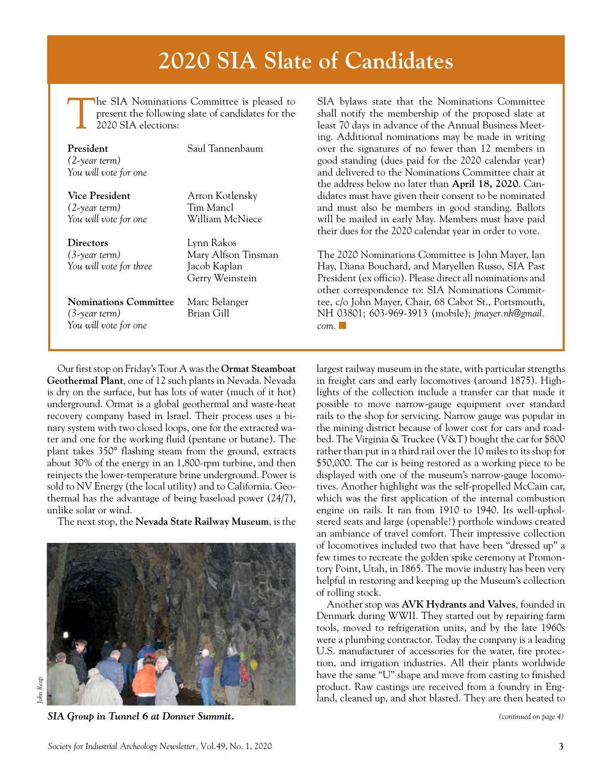# **2020 SIA Slate of Candidates**

The SIA Nominations Committee is pleased to present the following slate of candidates for the 2020 SIA elections:

| President<br>$(2$ -year term)<br>You will vote for one             | Saul Tannenbaum                                                      |
|--------------------------------------------------------------------|----------------------------------------------------------------------|
| Vice President<br>$(2$ -year term)<br>You will vote for one        | Arron Kotlensky<br>Tim Mancl<br>William McNiece                      |
| <b>Directors</b><br>$(3$ -year term $)$<br>You will vote for three | Lynn Rakos<br>Mary Alfson Tinsman<br>Jacob Kaplan<br>Gerry Weinstein |
|                                                                    |                                                                      |

**Nominations Committee** Marc Belanger *(3-year term)* Brian Gill *You will vote for one*

Our first stop on Friday's Tour A was the **Ormat Steamboat Geothermal Plant**, one of 12 such plants in Nevada. Nevada is dry on the surface, but has lots of water (much of it hot) underground. Ormat is a global geothermal and waste-heat recovery company based in Israel. Their process uses a binary system with two closed loops, one for the extracted water and one for the working fluid (pentane or butane). The plant takes 350° flashing steam from the ground, extracts about 30% of the energy in an 1,800-rpm turbine, and then reinjects the lower-temperature brine underground. Power is sold to NV Energy (the local utility) and to California. Geothermal has the advantage of being baseload power (24/7), unlike solar or wind.

The next stop, the **Nevada State Railway Museum**, is the



*SIA Group in Tunnel 6 at Donner Summit.* 

SIA bylaws state that the Nominations Committee shall notify the membership of the proposed slate at least 70 days in advance of the Annual Business Meeting. Additional nominations may be made in writing over the signatures of no fewer than 12 members in good standing (dues paid for the 2020 calendar year) and delivered to the Nominations Committee chair at the address below no later than **April 18, 2020**. Candidates must have given their consent to be nominated and must also be members in good standing. Ballots will be mailed in early May. Members must have paid their dues for the 2020 calendar year in order to vote.

The 2020 Nominations Committee is John Mayer, Ian Hay, Diana Bouchard, and Maryellen Russo, SIA Past President (ex officio). Please direct all nominations and other correspondence to: SIA Nominations Committee, c/o John Mayer, Chair, 68 Cabot St., Portsmouth, NH 03801; 603-969-3913 (mobile); *jmayer.nh@gmail.*  $com.$  $\Box$ 

largest railway museum in the state, with particular strengths in freight cars and early locomotives (around 1875). Highlights of the collection include a transfer car that made it possible to move narrow-gauge equipment over standard rails to the shop for servicing. Narrow gauge was popular in the mining district because of lower cost for cars and roadbed. The Virginia & Truckee (V&T) bought the car for \$800 rather than put in a third rail over the 10 miles to its shop for \$50,000. The car is being restored as a working piece to be displayed with one of the museum's narrow-gauge locomotives. Another highlight was the self-propelled McCain car, which was the first application of the internal combustion engine on rails. It ran from 1910 to 1940. Its well-upholstered seats and large (openable!) porthole windows created an ambiance of travel comfort. Their impressive collection of locomotives included two that have been "dressed up" a few times to recreate the golden spike ceremony at Promontory Point, Utah, in 1865. The movie industry has been very helpful in restoring and keeping up the Museum's collection of rolling stock.

Another stop was **AVK Hydrants and Valves**, founded in Denmark during WWII. They started out by repairing farm tools, moved to refrigeration units, and by the late 1960s were a plumbing contractor. Today the company is a leading U.S. manufacturer of accessories for the water, fire protection, and irrigation industries. All their plants worldwide have the same "U" shape and move from casting to finished product. Raw castings are received from a foundry in England, cleaned up, and shot blasted. They are then heated to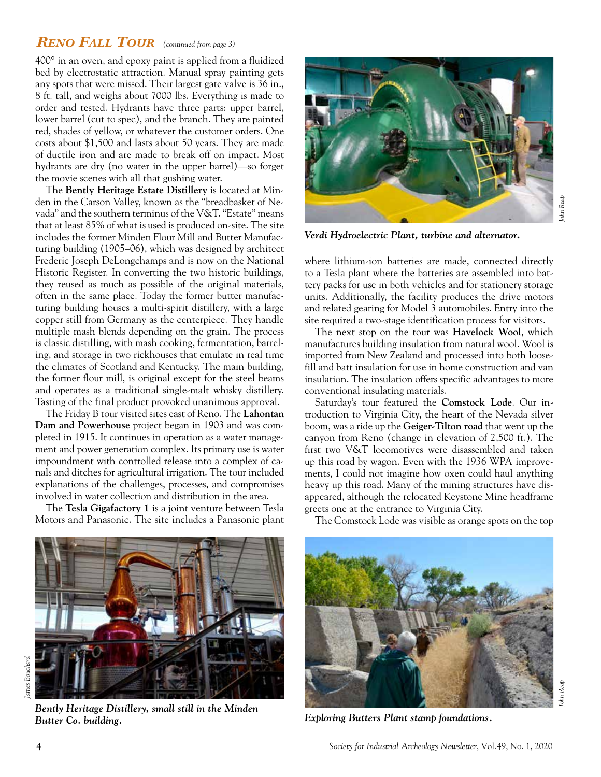#### *Reno Fall Tour (continued from page 3)*

400° in an oven, and epoxy paint is applied from a fluidized bed by electrostatic attraction. Manual spray painting gets any spots that were missed. Their largest gate valve is 36 in., 8 ft. tall, and weighs about 7000 lbs. Everything is made to order and tested. Hydrants have three parts: upper barrel, lower barrel (cut to spec), and the branch. They are painted red, shades of yellow, or whatever the customer orders. One costs about \$1,500 and lasts about 50 years. They are made of ductile iron and are made to break off on impact. Most hydrants are dry (no water in the upper barrel)—so forget the movie scenes with all that gushing water.

The **Bently Heritage Estate Distillery** is located at Minden in the Carson Valley, known as the "breadbasket of Nevada" and the southern terminus of the V&T. "Estate" means that at least 85% of what is used is produced on-site. The site includes the former Minden Flour Mill and Butter Manufacturing building (1905–06), which was designed by architect Frederic Joseph DeLongchamps and is now on the National Historic Register. In converting the two historic buildings, they reused as much as possible of the original materials, often in the same place. Today the former butter manufacturing building houses a multi-spirit distillery, with a large copper still from Germany as the centerpiece. They handle multiple mash blends depending on the grain. The process is classic distilling, with mash cooking, fermentation, barreling, and storage in two rickhouses that emulate in real time the climates of Scotland and Kentucky. The main building, the former flour mill, is original except for the steel beams and operates as a traditional single-malt whisky distillery. Tasting of the final product provoked unanimous approval.

The Friday B tour visited sites east of Reno. The **Lahontan Dam and Powerhouse** project began in 1903 and was completed in 1915. It continues in operation as a water management and power generation complex. Its primary use is water impoundment with controlled release into a complex of canals and ditches for agricultural irrigation. The tour included explanations of the challenges, processes, and compromises involved in water collection and distribution in the area.

The **Tesla Gigafactory 1** is a joint venture between Tesla Motors and Panasonic. The site includes a Panasonic plant



*John Reap*

*Verdi Hydroelectric Plant, turbine and alternator.* 

where lithium-ion batteries are made, connected directly to a Tesla plant where the batteries are assembled into battery packs for use in both vehicles and for stationery storage units. Additionally, the facility produces the drive motors and related gearing for Model 3 automobiles. Entry into the site required a two-stage identification process for visitors.

The next stop on the tour was **Havelock Wool**, which manufactures building insulation from natural wool. Wool is imported from New Zealand and processed into both loosefill and batt insulation for use in home construction and van insulation. The insulation offers specific advantages to more conventional insulating materials.

Saturday's tour featured the **Comstock Lode**. Our introduction to Virginia City, the heart of the Nevada silver boom, was a ride up the **Geiger-Tilton road** that went up the canyon from Reno (change in elevation of 2,500 ft.). The first two V&T locomotives were disassembled and taken up this road by wagon. Even with the 1936 WPA improvements, I could not imagine how oxen could haul anything heavy up this road. Many of the mining structures have disappeared, although the relocated Keystone Mine headframe greets one at the entrance to Virginia City.



*Bently Heritage Distillery, small still in the Minden Butter Co. building.* 

The Comstock Lode was visible as orange spots on the top



*Exploring Butters Plant stamp foundations.*

*John Reap*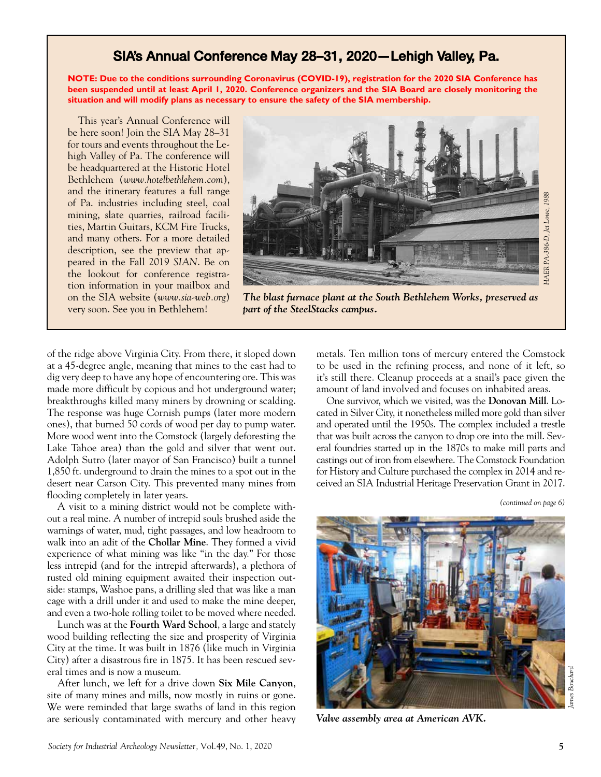### SIA's Annual Conference May 28–31, 2020—Lehigh Valley, Pa.

**NOTE: Due to the conditions surrounding Coronavirus (COVID-19), registration for the 2020 SIA Conference has been suspended until at least April 1, 2020. Conference organizers and the SIA Board are closely monitoring the situation and will modify plans as necessary to ensure the safety of the SIA membership.**

This year's Annual Conference will be here soon! Join the SIA May 28–31 for tours and events throughout the Lehigh Valley of Pa. The conference will be headquartered at the Historic Hotel Bethlehem (*www.hotelbethlehem.com*), and the itinerary features a full range of Pa. industries including steel, coal mining, slate quarries, railroad facilities, Martin Guitars, KCM Fire Trucks, and many others. For a more detailed description, see the preview that appeared in the Fall 2019 *SIAN*. Be on the lookout for conference registration information in your mailbox and on the SIA website (*www.sia-web.org*) very soon. See you in Bethlehem!



*The blast furnace plant at the South Bethlehem Works, preserved as part of the SteelStacks campus.*

of the ridge above Virginia City. From there, it sloped down at a 45-degree angle, meaning that mines to the east had to dig very deep to have any hope of encountering ore. This was made more difficult by copious and hot underground water; breakthroughs killed many miners by drowning or scalding. The response was huge Cornish pumps (later more modern ones), that burned 50 cords of wood per day to pump water. More wood went into the Comstock (largely deforesting the Lake Tahoe area) than the gold and silver that went out. Adolph Sutro (later mayor of San Francisco) built a tunnel 1,850 ft. underground to drain the mines to a spot out in the desert near Carson City. This prevented many mines from flooding completely in later years.

A visit to a mining district would not be complete without a real mine. A number of intrepid souls brushed aside the warnings of water, mud, tight passages, and low headroom to walk into an adit of the **Chollar Mine**. They formed a vivid experience of what mining was like "in the day." For those less intrepid (and for the intrepid afterwards), a plethora of rusted old mining equipment awaited their inspection outside: stamps, Washoe pans, a drilling sled that was like a man cage with a drill under it and used to make the mine deeper, and even a two-hole rolling toilet to be moved where needed.

Lunch was at the **Fourth Ward School**, a large and stately wood building reflecting the size and prosperity of Virginia City at the time. It was built in 1876 (like much in Virginia City) after a disastrous fire in 1875. It has been rescued several times and is now a museum.

After lunch, we left for a drive down **Six Mile Canyon**, site of many mines and mills, now mostly in ruins or gone. We were reminded that large swaths of land in this region are seriously contaminated with mercury and other heavy metals. Ten million tons of mercury entered the Comstock to be used in the refining process, and none of it left, so it's still there. Cleanup proceeds at a snail's pace given the amount of land involved and focuses on inhabited areas.

One survivor, which we visited, was the **Donovan Mill**. Located in Silver City, it nonetheless milled more gold than silver and operated until the 1950s. The complex included a trestle that was built across the canyon to drop ore into the mill. Several foundries started up in the 1870s to make mill parts and castings out of iron from elsewhere. The Comstock Foundation for History and Culture purchased the complex in 2014 and received an SIA Industrial Heritage Preservation Grant in 2017.

*(continued on page 6)*



*Valve assembly area at American AVK.*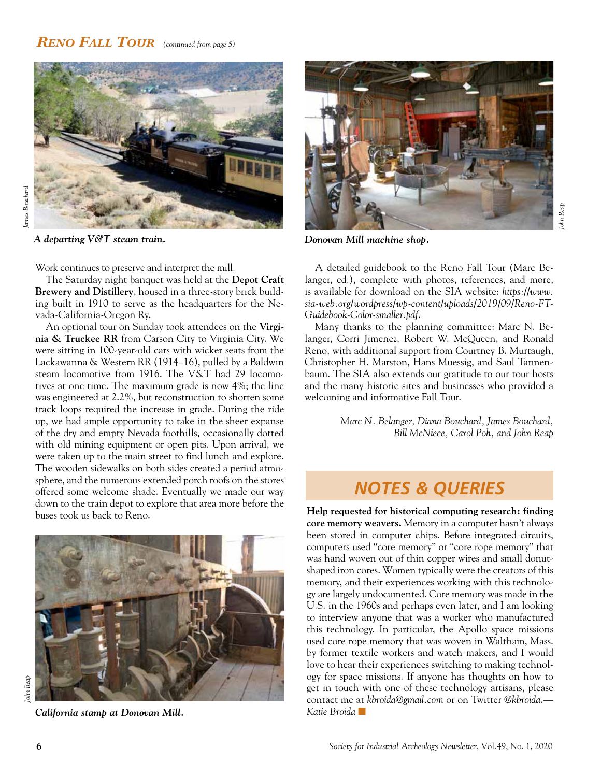#### *Reno Fall Tour (continued from page 5)*



*A departing V&T steam train. Donovan Mill machine shop.*

Work continues to preserve and interpret the mill.

The Saturday night banquet was held at the **Depot Craft Brewery and Distillery**, housed in a three-story brick building built in 1910 to serve as the headquarters for the Nevada-California-Oregon Ry.

An optional tour on Sunday took attendees on the **Virginia & Truckee RR** from Carson City to Virginia City. We were sitting in 100-year-old cars with wicker seats from the Lackawanna & Western RR (1914–16), pulled by a Baldwin steam locomotive from 1916. The V&T had 29 locomotives at one time. The maximum grade is now 4%; the line was engineered at 2.2%, but reconstruction to shorten some track loops required the increase in grade. During the ride up, we had ample opportunity to take in the sheer expanse of the dry and empty Nevada foothills, occasionally dotted with old mining equipment or open pits. Upon arrival, we were taken up to the main street to find lunch and explore. The wooden sidewalks on both sides created a period atmosphere, and the numerous extended porch roofs on the stores offered some welcome shade. Eventually we made our way down to the train depot to explore that area more before the buses took us back to Reno.



*California stamp at Donovan Mill.*



A detailed guidebook to the Reno Fall Tour (Marc Belanger, ed.), complete with photos, references, and more, is available for download on the SIA website: *https://www. sia-web.org/wordpress/wp-content/uploads/2019/09/Reno-FT-Guidebook-Color-smaller.pdf*.

Many thanks to the planning committee: Marc N. Belanger, Corri Jimenez, Robert W. McQueen, and Ronald Reno, with additional support from Courtney B. Murtaugh, Christopher H. Marston, Hans Muessig, and Saul Tannenbaum. The SIA also extends our gratitude to our tour hosts and the many historic sites and businesses who provided a welcoming and informative Fall Tour.

> *Marc N. Belanger, Diana Bouchard, James Bouchard, Bill McNiece, Carol Poh, and John Reap*

### *NOTES & QUERIES*

**Help requested for historical computing research: finding core memory weavers.** Memory in a computer hasn't always been stored in computer chips. Before integrated circuits, computers used "core memory" or "core rope memory" that was hand woven out of thin copper wires and small donutshaped iron cores. Women typically were the creators of this memory, and their experiences working with this technology are largely undocumented. Core memory was made in the U.S. in the 1960s and perhaps even later, and I am looking to interview anyone that was a worker who manufactured this technology. In particular, the Apollo space missions used core rope memory that was woven in Waltham, Mass. by former textile workers and watch makers, and I would love to hear their experiences switching to making technology for space missions. If anyone has thoughts on how to get in touch with one of these technology artisans, please contact me at *kbroida@gmail.com* or on Twitter *@kbroida*.— *Katie Broida* n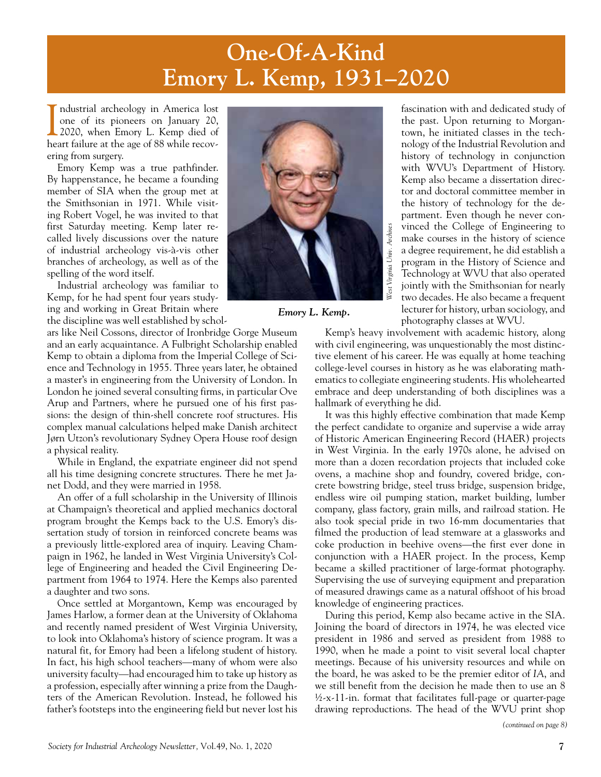# **One-Of-A-Kind Emory L. Kemp, 1931–2020**

I ndustrial archeology in America lost<br>one of its pioneers on January 20,<br>2020, when Emory L. Kemp died of<br>heart failure at the age of 88 while recovndustrial archeology in America lost one of its pioneers on January 20, 2020, when Emory L. Kemp died of ering from surgery.

Emory Kemp was a true pathfinder. By happenstance, he became a founding member of SIA when the group met at the Smithsonian in 1971. While visiting Robert Vogel, he was invited to that first Saturday meeting. Kemp later recalled lively discussions over the nature of industrial archeology vis-à-vis other branches of archeology, as well as of the spelling of the word itself.

Industrial archeology was familiar to Kemp, for he had spent four years studying and working in Great Britain where the discipline was well established by schol-

ars like Neil Cossons, director of Ironbridge Gorge Museum and an early acquaintance. A Fulbright Scholarship enabled Kemp to obtain a diploma from the Imperial College of Science and Technology in 1955. Three years later, he obtained a master's in engineering from the University of London. In London he joined several consulting firms, in particular Ove Arup and Partners, where he pursued one of his first passions: the design of thin-shell concrete roof structures. His complex manual calculations helped make Danish architect Jørn Utzon's revolutionary Sydney Opera House roof design a physical reality.

While in England, the expatriate engineer did not spend all his time designing concrete structures. There he met Janet Dodd, and they were married in 1958.

An offer of a full scholarship in the University of Illinois at Champaign's theoretical and applied mechanics doctoral program brought the Kemps back to the U.S. Emory's dissertation study of torsion in reinforced concrete beams was a previously little-explored area of inquiry. Leaving Champaign in 1962, he landed in West Virginia University's College of Engineering and headed the Civil Engineering Department from 1964 to 1974. Here the Kemps also parented a daughter and two sons.

Once settled at Morgantown, Kemp was encouraged by James Harlow, a former dean at the University of Oklahoma and recently named president of West Virginia University, to look into Oklahoma's history of science program. It was a natural fit, for Emory had been a lifelong student of history. In fact, his high school teachers—many of whom were also university faculty—had encouraged him to take up history as a profession, especially after winning a prize from the Daughters of the American Revolution. Instead, he followed his father's footsteps into the engineering field but never lost his



*Emory L. Kemp.* 

fascination with and dedicated study of the past. Upon returning to Morgantown, he initiated classes in the technology of the Industrial Revolution and history of technology in conjunction with WVU's Department of History. Kemp also became a dissertation director and doctoral committee member in the history of technology for the department. Even though he never convinced the College of Engineering to make courses in the history of science a degree requirement, he did establish a program in the History of Science and Technology at WVU that also operated jointly with the Smithsonian for nearly two decades. He also became a frequent lecturer for history, urban sociology, and photography classes at WVU.

Kemp's heavy involvement with academic history, along with civil engineering, was unquestionably the most distinctive element of his career. He was equally at home teaching college-level courses in history as he was elaborating mathematics to collegiate engineering students. His wholehearted embrace and deep understanding of both disciplines was a hallmark of everything he did.

It was this highly effective combination that made Kemp the perfect candidate to organize and supervise a wide array of Historic American Engineering Record (HAER) projects in West Virginia. In the early 1970s alone, he advised on more than a dozen recordation projects that included coke ovens, a machine shop and foundry, covered bridge, concrete bowstring bridge, steel truss bridge, suspension bridge, endless wire oil pumping station, market building, lumber company, glass factory, grain mills, and railroad station. He also took special pride in two 16-mm documentaries that filmed the production of lead stemware at a glassworks and coke production in beehive ovens—the first ever done in conjunction with a HAER project. In the process, Kemp became a skilled practitioner of large-format photography. Supervising the use of surveying equipment and preparation of measured drawings came as a natural offshoot of his broad knowledge of engineering practices.

During this period, Kemp also became active in the SIA. Joining the board of directors in 1974, he was elected vice president in 1986 and served as president from 1988 to 1990, when he made a point to visit several local chapter meetings. Because of his university resources and while on the board, he was asked to be the premier editor of *IA*, and we still benefit from the decision he made then to use an 8 ½-x-11-in. format that facilitates full-page or quarter-page drawing reproductions. The head of the WVU print shop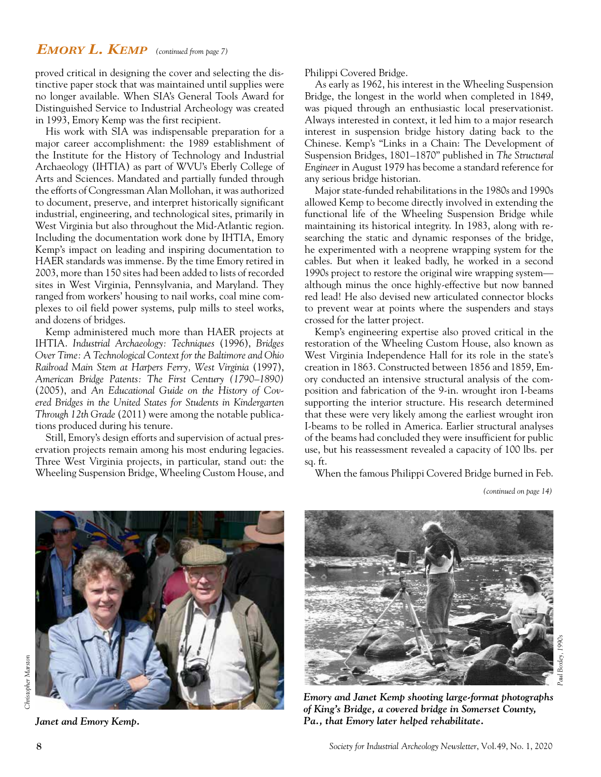#### *Emory L. Kemp (continued from page 7)*

proved critical in designing the cover and selecting the distinctive paper stock that was maintained until supplies were no longer available. When SIA's General Tools Award for Distinguished Service to Industrial Archeology was created in 1993, Emory Kemp was the first recipient.

His work with SIA was indispensable preparation for a major career accomplishment: the 1989 establishment of the Institute for the History of Technology and Industrial Archaeology (IHTIA) as part of WVU's Eberly College of Arts and Sciences. Mandated and partially funded through the efforts of Congressman Alan Mollohan, it was authorized to document, preserve, and interpret historically significant industrial, engineering, and technological sites, primarily in West Virginia but also throughout the Mid-Atlantic region. Including the documentation work done by IHTIA, Emory Kemp's impact on leading and inspiring documentation to HAER standards was immense. By the time Emory retired in 2003, more than 150 sites had been added to lists of recorded sites in West Virginia, Pennsylvania, and Maryland. They ranged from workers' housing to nail works, coal mine complexes to oil field power systems, pulp mills to steel works, and dozens of bridges.

Kemp administered much more than HAER projects at IHTIA. *Industrial Archaeology: Techniques* (1996), *Bridges Over Time: A Technological Context for the Baltimore and Ohio Railroad Main Stem at Harpers Ferry, West Virginia* (1997), *American Bridge Patents: The First Century (1790–1890)* (2005), and *An Educational Guide on the History of Covered Bridges in the United States for Students in Kindergarten Through 12th Grade* (2011) were among the notable publications produced during his tenure.

Still, Emory's design efforts and supervision of actual preservation projects remain among his most enduring legacies. Three West Virginia projects, in particular, stand out: the Wheeling Suspension Bridge, Wheeling Custom House, and Philippi Covered Bridge.

As early as 1962, his interest in the Wheeling Suspension Bridge, the longest in the world when completed in 1849, was piqued through an enthusiastic local preservationist. Always interested in context, it led him to a major research interest in suspension bridge history dating back to the Chinese. Kemp's "Links in a Chain: The Development of Suspension Bridges, 1801–1870" published in *The Structural Engineer* in August 1979 has become a standard reference for any serious bridge historian.

Major state-funded rehabilitations in the 1980s and 1990s allowed Kemp to become directly involved in extending the functional life of the Wheeling Suspension Bridge while maintaining its historical integrity. In 1983, along with researching the static and dynamic responses of the bridge, he experimented with a neoprene wrapping system for the cables. But when it leaked badly, he worked in a second 1990s project to restore the original wire wrapping system although minus the once highly-effective but now banned red lead! He also devised new articulated connector blocks to prevent wear at points where the suspenders and stays crossed for the latter project.

Kemp's engineering expertise also proved critical in the restoration of the Wheeling Custom House, also known as West Virginia Independence Hall for its role in the state's creation in 1863. Constructed between 1856 and 1859, Emory conducted an intensive structural analysis of the composition and fabrication of the 9-in. wrought iron I-beams supporting the interior structure. His research determined that these were very likely among the earliest wrought iron I-beams to be rolled in America. Earlier structural analyses of the beams had concluded they were insufficient for public use, but his reassessment revealed a capacity of 100 lbs. per sq. ft.

When the famous Philippi Covered Bridge burned in Feb.



Christopher Marston *Christopher Marston*

*Paul Boxley, 1990s* Paul Boxley, 1990.

*Emory and Janet Kemp shooting large-format photographs of King's Bridge, a covered bridge in Somerset County, Janet and Emory Kemp. Pa., that Emory later helped rehabilitate.* 

*<sup>(</sup>continued on page 14)*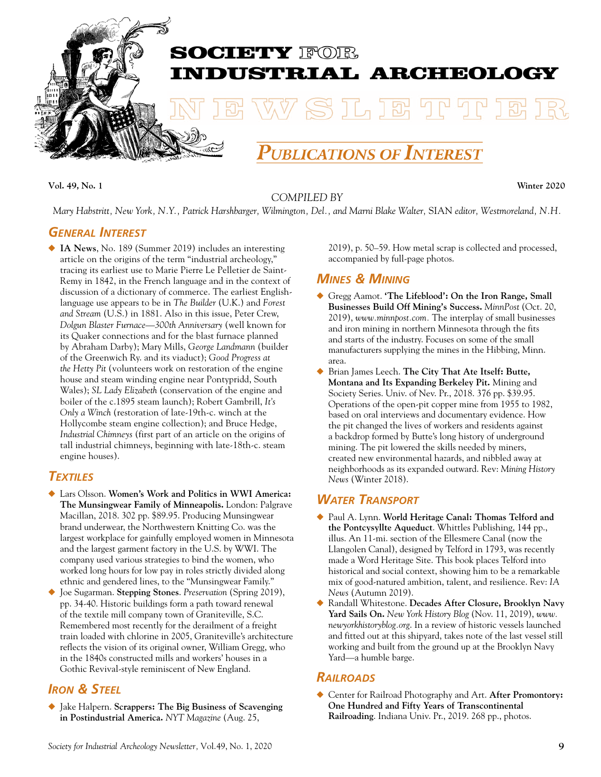

**Vol. 49, No. 1 Winter 2020**

#### *COMPILED BY*

*Mary Habstritt, New York, N.Y., Patrick Harshbarger, Wilmington, Del., and Marni Blake Walter,* SIAN *editor, Westmoreland, N.H.*

#### *General Interest*

◆ IA News, No. 189 (Summer 2019) includes an interesting article on the origins of the term "industrial archeology," tracing its earliest use to Marie Pierre Le Pelletier de Saint-Remy in 1842, in the French language and in the context of discussion of a dictionary of commerce. The earliest Englishlanguage use appears to be in *The Builder* (U.K.) and *Forest and Stream* (U.S.) in 1881. Also in this issue, Peter Crew, *Dolgun Blaster Furnace—300th Anniversary* (well known for its Quaker connections and for the blast furnace planned by Abraham Darby); Mary Mills, *George Landmann* (builder of the Greenwich Ry. and its viaduct); *Good Progress at the Hetty Pit* (volunteers work on restoration of the engine house and steam winding engine near Pontypridd, South Wales); *SL Lady Elizabeth* (conservation of the engine and boiler of the c.1895 steam launch); Robert Gambrill, *It's Only a Winch* (restoration of late-19th-c. winch at the Hollycombe steam engine collection); and Bruce Hedge, *Industrial Chimneys* (first part of an article on the origins of tall industrial chimneys, beginning with late-18th-c. steam engine houses).

#### *Textiles*

- ◆ Lars Olsson. Women's Work and Politics in WWI America: **The Munsingwear Family of Minneapolis.** London: Palgrave Macillan, 2018. 302 pp. \$89.95. Producing Munsingwear brand underwear, the Northwestern Knitting Co. was the largest workplace for gainfully employed women in Minnesota and the largest garment factory in the U.S. by WWI. The company used various strategies to bind the women, who worked long hours for low pay in roles strictly divided along ethnic and gendered lines, to the "Munsingwear Family."
- ◆ Joe Sugarman. **Stepping Stones**. *Preservation* (Spring 2019), pp. 34-40. Historic buildings form a path toward renewal of the textile mill company town of Graniteville, S.C. Remembered most recently for the derailment of a freight train loaded with chlorine in 2005, Graniteville's architecture reflects the vision of its original owner, William Gregg, who in the 1840s constructed mills and workers' houses in a Gothic Revival-style reminiscent of New England.

#### *Iron & Steel*

◆ Jake Halpern. **Scrappers: The Big Business of Scavenging in Postindustrial America.** *NYT Magazine* (Aug. 25,

2019), p. 50–59. How metal scrap is collected and processed, accompanied by full-page photos.

#### *Mines & Mining*

- ◆ Gregg Aamot. **'The Lifeblood': On the Iron Range, Small Businesses Build Off Mining's Success.** *MinnPost* (Oct. 20, 2019), *www.minnpost.com.* The interplay of small businesses and iron mining in northern Minnesota through the fits and starts of the industry. Focuses on some of the small manufacturers supplying the mines in the Hibbing, Minn. area.
- ◆ Brian James Leech. **The City That Ate Itself: Butte, Montana and Its Expanding Berkeley Pit.** Mining and Society Series. Univ. of Nev. Pr., 2018. 376 pp. \$39.95. Operations of the open-pit copper mine from 1955 to 1982, based on oral interviews and documentary evidence. How the pit changed the lives of workers and residents against a backdrop formed by Butte's long history of underground mining. The pit lowered the skills needed by miners, created new environmental hazards, and nibbled away at neighborhoods as its expanded outward. Rev: *Mining History News* (Winter 2018).

#### *Water Transport*

- ◆ Paul A. Lynn. **World Heritage Canal: Thomas Telford and the Pontcysyllte Aqueduct**. Whittles Publishing, 144 pp., illus. An 11-mi. section of the Ellesmere Canal (now the Llangolen Canal), designed by Telford in 1793, was recently made a Word Heritage Site. This book places Telford into historical and social context, showing him to be a remarkable mix of good-natured ambition, talent, and resilience. Rev: *IA News* (Autumn 2019).
- ◆ Randall Whitestone. **Decades After Closure, Brooklyn Navy Yard Sails On.** *New York History Blog* (Nov. 11, 2019), *www. newyorkhistoryblog.org*. In a review of historic vessels launched and fitted out at this shipyard, takes note of the last vessel still working and built from the ground up at the Brooklyn Navy Yard—a humble barge.

#### *Railroads*

◆ Center for Railroad Photography and Art. **After Promontory: One Hundred and Fifty Years of Transcontinental Railroading**. Indiana Univ. Pr., 2019. 268 pp., photos.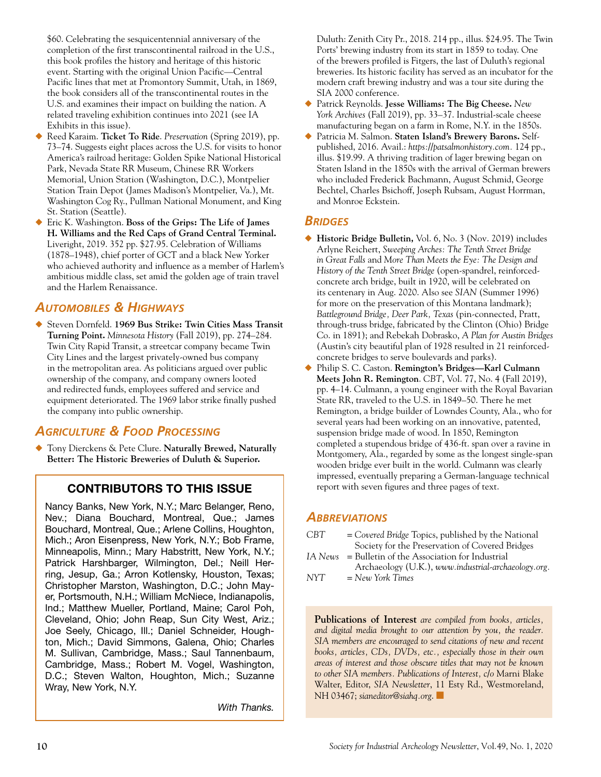\$60. Celebrating the sesquicentennial anniversary of the completion of the first transcontinental railroad in the U.S., this book profiles the history and heritage of this historic event. Starting with the original Union Pacific—Central Pacific lines that met at Promontory Summit, Utah, in 1869, the book considers all of the transcontinental routes in the U.S. and examines their impact on building the nation. A related traveling exhibition continues into 2021 (see IA Exhibits in this issue).

- ◆ Reed Karaim. **Ticket To Ride**. *Preservation* (Spring 2019), pp. 73–74. Suggests eight places across the U.S. for visits to honor America's railroad heritage: Golden Spike National Historical Park, Nevada State RR Museum, Chinese RR Workers Memorial, Union Station (Washington, D.C.), Montpelier Station Train Depot (James Madison's Montpelier, Va.), Mt. Washington Cog Ry., Pullman National Monument, and King St. Station (Seattle).
- ◆ Eric K. Washington. **Boss of the Grips: The Life of James H. Williams and the Red Caps of Grand Central Terminal.** Liveright, 2019. 352 pp. \$27.95. Celebration of Williams (1878–1948), chief porter of GCT and a black New Yorker who achieved authority and influence as a member of Harlem's ambitious middle class, set amid the golden age of train travel and the Harlem Renaissance.

#### *Automobiles & Highways*

◆ Steven Dornfeld. **1969 Bus Strike: Twin Cities Mass Transit Turning Point.** *Minnesota History* (Fall 2019), pp. 274–284. Twin City Rapid Transit, a streetcar company became Twin City Lines and the largest privately-owned bus company in the metropolitan area. As politicians argued over public ownership of the company, and company owners looted and redirected funds, employees suffered and service and equipment deteriorated. The 1969 labor strike finally pushed the company into public ownership.

#### *Agriculture & Food Processing*

◆ Tony Dierckens & Pete Clure. **Naturally Brewed, Naturally Better: The Historic Breweries of Duluth & Superior.**

#### CONTRIBUTORS TO THIS ISSUE

Nancy Banks, New York, N.Y.; Marc Belanger, Reno, Nev.; Diana Bouchard, Montreal, Que.; James Bouchard, Montreal, Que.; Arlene Collins, Houghton, Mich.; Aron Eisenpress, New York, N.Y.; Bob Frame, Minneapolis, Minn.; Mary Habstritt, New York, N.Y.; Patrick Harshbarger, Wilmington, Del.; Neill Herring, Jesup, Ga.; Arron Kotlensky, Houston, Texas; Christopher Marston, Washington, D.C.; John Mayer, Portsmouth, N.H.; William McNiece, Indianapolis, Ind.; Matthew Mueller, Portland, Maine; Carol Poh, Cleveland, Ohio; John Reap, Sun City West, Ariz.; Joe Seely, Chicago, Ill.; Daniel Schneider, Houghton, Mich.; David Simmons, Galena, Ohio; Charles M. Sullivan, Cambridge, Mass.; Saul Tannenbaum, Cambridge, Mass.; Robert M. Vogel, Washington, D.C.; Steven Walton, Houghton, Mich.; Suzanne Wray, New York, N.Y.

*With Thanks.*

Duluth: Zenith City Pr., 2018. 214 pp., illus. \$24.95. The Twin Ports' brewing industry from its start in 1859 to today. One of the brewers profiled is Fitgers, the last of Duluth's regional breweries. Its historic facility has served as an incubator for the modern craft brewing industry and was a tour site during the SIA 2000 conference.

- ◆ Patrick Reynolds. **Jesse Williams: The Big Cheese.** *New York Archives* (Fall 2019), pp. 33–37. Industrial-scale cheese manufacturing began on a farm in Rome, N.Y. in the 1850s.
- Patricia M. Salmon. Staten Island's Brewery Barons. Selfpublished, 2016. Avail.: *https://patsalmonhistory.com.* 124 pp., illus. \$19.99. A thriving tradition of lager brewing began on Staten Island in the 1850s with the arrival of German brewers who included Frederick Bachmann, August Schmid, George Bechtel, Charles Bsichoff, Joseph Rubsam, August Horrman, and Monroe Eckstein.

#### *Bridges*

- ◆ **Historic Bridge Bulletin,** Vol. 6, No. 3 (Nov. 2019) includes Arlyne Reichert, *Sweeping Arches: The Tenth Street Bridge in Great Falls* and *More Than Meets the Eye: The Design and History of the Tenth Street Bridge* (open-spandrel, reinforcedconcrete arch bridge, built in 1920, will be celebrated on its centenary in Aug. 2020. Also see *SIAN* (Summer 1996) for more on the preservation of this Montana landmark); *Battleground Bridge, Deer Park, Texas* (pin-connected, Pratt, through-truss bridge, fabricated by the Clinton (Ohio) Bridge Co. in 1891); and Rebekah Dobrasko, *A Plan for Austin Bridges* (Austin's city beautiful plan of 1928 resulted in 21 reinforcedconcrete bridges to serve boulevards and parks).
- ◆ Philip S. C. Caston. **Remington's Bridges—Karl Culmann Meets John R. Remington**. *CBT*, Vol. 77, No. 4 (Fall 2019), pp. 4–14. Culmann, a young engineer with the Royal Bavarian State RR, traveled to the U.S. in 1849–50. There he met Remington, a bridge builder of Lowndes County, Ala., who for several years had been working on an innovative, patented, suspension bridge made of wood. In 1850, Remington completed a stupendous bridge of 436-ft. span over a ravine in Montgomery, Ala., regarded by some as the longest single-span wooden bridge ever built in the world. Culmann was clearly impressed, eventually preparing a German-language technical report with seven figures and three pages of text.

#### *Abbreviations*

| CBT. | $=$ Covered Bridge Topics, published by the National   |
|------|--------------------------------------------------------|
|      | Society for the Preservation of Covered Bridges        |
|      | $IA News = Bulletin of the Association for Industrial$ |
|      | Archaeology (U.K.), www.industrial-archaeology.org.    |

*NYT = New York Times*

**Publications of Interest** *are compiled from books, articles, and digital media brought to our attention by you, the reader. SIA members are encouraged to send citations of new and recent books, articles, CDs, DVDs, etc., especially those in their own areas of interest and those obscure titles that may not be known to other SIA members. Publications of Interest, c/o* Marni Blake Walter, Editor, *SIA Newsletter*, 11 Esty Rd., Westmoreland, NH 03467; *sianeditor@siahq.org*.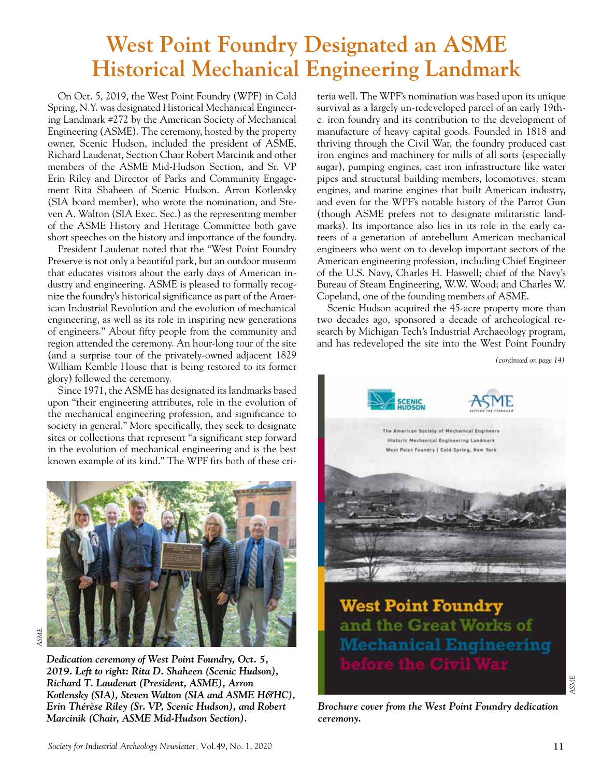## **West Point Foundry Designated an ASME Historical Mechanical Engineering Landmark**

On Oct. 5, 2019, the West Point Foundry (WPF) in Cold Spring, N.Y. was designated Historical Mechanical Engineering Landmark #272 by the American Society of Mechanical Engineering (ASME). The ceremony, hosted by the property owner, Scenic Hudson, included the president of ASME, Richard Laudenat, Section Chair Robert Marcinik and other members of the ASME Mid-Hudson Section, and Sr. VP Erin Riley and Director of Parks and Community Engagement Rita Shaheen of Scenic Hudson. Arron Kotlensky (SIA board member), who wrote the nomination, and Steven A. Walton (SIA Exec. Sec.) as the representing member of the ASME History and Heritage Committee both gave short speeches on the history and importance of the foundry.

President Laudenat noted that the "West Point Foundry Preserve is not only a beautiful park, but an outdoor museum that educates visitors about the early days of American industry and engineering. ASME is pleased to formally recognize the foundry's historical significance as part of the American Industrial Revolution and the evolution of mechanical engineering, as well as its role in inspiring new generations of engineers." About fifty people from the community and region attended the ceremony. An hour-long tour of the site (and a surprise tour of the privately-owned adjacent 1829 William Kemble House that is being restored to its former glory) followed the ceremony.

Since 1971, the ASME has designated its landmarks based upon "their engineering attributes, role in the evolution of the mechanical engineering profession, and significance to society in general." More specifically, they seek to designate sites or collections that represent "a significant step forward in the evolution of mechanical engineering and is the best known example of its kind." The WPF fits both of these cri-



*Dedication ceremony of West Point Foundry, Oct. 5, 2019. Left to right: Rita D. Shaheen (Scenic Hudson), Richard T. Laudenat (President, ASME), Arron Kotlensky (SIA), Steven Walton (SIA and ASME H&HC), Erin Thérèse Riley (Sr. VP, Scenic Hudson), and Robert Marcinik (Chair, ASME Mid-Hudson Section).*

teria well. The WPF's nomination was based upon its unique survival as a largely un-redeveloped parcel of an early 19thc. iron foundry and its contribution to the development of manufacture of heavy capital goods. Founded in 1818 and thriving through the Civil War, the foundry produced cast iron engines and machinery for mills of all sorts (especially sugar), pumping engines, cast iron infrastructure like water pipes and structural building members, locomotives, steam engines, and marine engines that built American industry, and even for the WPF's notable history of the Parrot Gun (though ASME prefers not to designate militaristic landmarks). Its importance also lies in its role in the early careers of a generation of antebellum American mechanical engineers who went on to develop important sectors of the American engineering profession, including Chief Engineer of the U.S. Navy, Charles H. Haswell; chief of the Navy's Bureau of Steam Engineering, W.W. Wood; and Charles W. Copeland, one of the founding members of ASME.

Scenic Hudson acquired the 45-acre property more than two decades ago, sponsored a decade of archeological research by Michigan Tech's Industrial Archaeology program, and has redeveloped the site into the West Point Foundry

*(continued on page 14)*



*Brochure cover from the West Point Foundry dedication ceremony.*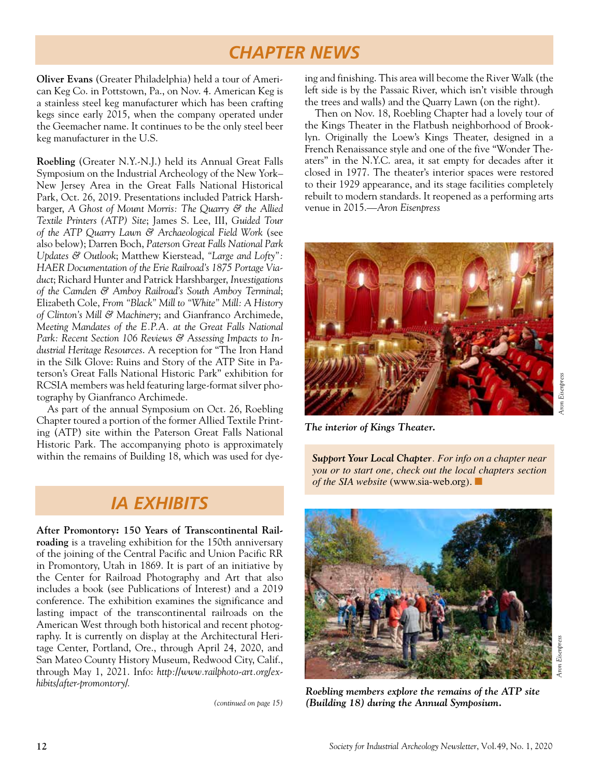### *CHAPTER NEWS*

**Oliver Evans** (Greater Philadelphia) held a tour of American Keg Co. in Pottstown, Pa., on Nov. 4. American Keg is a stainless steel keg manufacturer which has been crafting kegs since early 2015, when the company operated under the Geemacher name. It continues to be the only steel beer keg manufacturer in the U.S.

**Roebling** (Greater N.Y.-N.J.) held its Annual Great Falls Symposium on the Industrial Archeology of the New York– New Jersey Area in the Great Falls National Historical Park, Oct. 26, 2019. Presentations included Patrick Harshbarger, *A Ghost of Mount Morris: The Quarry & the Allied Textile Printers (ATP) Site*; James S. Lee, III, *Guided Tour of the ATP Quarry Lawn & Archaeological Field Work* (see also below); Darren Boch, *Paterson Great Falls National Park Updates & Outlook*; Matthew Kierstead, *"Large and Lofty": HAER Documentation of the Erie Railroad's 1875 Portage Viaduct*; Richard Hunter and Patrick Harshbarger, *Investigations of the Camden & Amboy Railroad's South Amboy Terminal*; Elizabeth Cole, *From "Black" Mill to "White" Mill: A History of Clinton's Mill & Machinery*; and Gianfranco Archimede, *Meeting Mandates of the E.P.A. at the Great Falls National Park: Recent Section 106 Reviews & Assessing Impacts to Industrial Heritage Resources*. A reception for "The Iron Hand in the Silk Glove: Ruins and Story of the ATP Site in Paterson's Great Falls National Historic Park" exhibition for RCSIA members was held featuring large-format silver photography by Gianfranco Archimede.

As part of the annual Symposium on Oct. 26, Roebling Chapter toured a portion of the former Allied Textile Printing (ATP) site within the Paterson Great Falls National Historic Park. The accompanying photo is approximately within the remains of Building 18, which was used for dye- *Support Your Local Chapter. For info on a chapter near* 

### *IA EXHIBITS*

**After Promontory: 150 Years of Transcontinental Railroading** is a traveling exhibition for the 150th anniversary of the joining of the Central Pacific and Union Pacific RR in Promontory, Utah in 1869. It is part of an initiative by the Center for Railroad Photography and Art that also includes a book (see Publications of Interest) and a 2019 conference. The exhibition examines the significance and lasting impact of the transcontinental railroads on the American West through both historical and recent photography. It is currently on display at the Architectural Heritage Center, Portland, Ore., through April 24, 2020, and San Mateo County History Museum, Redwood City, Calif., through May 1, 2021. Info: *http://www.railphoto-art.org/exhibits/after-promontory/.*

*(continued on page 15)*

ing and finishing. This area will become the River Walk (the left side is by the Passaic River, which isn't visible through the trees and walls) and the Quarry Lawn (on the right).

Then on Nov. 18, Roebling Chapter had a lovely tour of the Kings Theater in the Flatbush neighborhood of Brooklyn. Originally the Loew's Kings Theater, designed in a French Renaissance style and one of the five "Wonder Theaters" in the N.Y.C. area, it sat empty for decades after it closed in 1977. The theater's interior spaces were restored to their 1929 appearance, and its stage facilities completely rebuilt to modern standards. It reopened as a performing arts venue in 2015.—*Aron Eisenpress*



*The interior of Kings Theater.* 

*you or to start one, check out the local chapters section of the SIA website* (www.sia-web.org).  $\blacksquare$ 



*Aron Eisenpress Aron Eisenpress* Aron Eisenpress

*Roebling members explore the remains of the ATP site (Building 18) during the Annual Symposium.*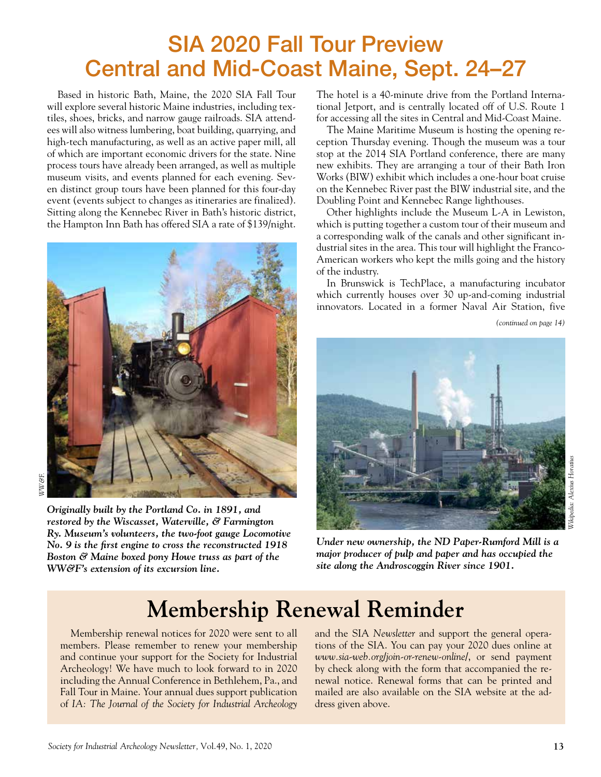# SIA 2020 Fall Tour Preview Central and Mid-Coast Maine, Sept. 24–27

Based in historic Bath, Maine, the 2020 SIA Fall Tour will explore several historic Maine industries, including textiles, shoes, bricks, and narrow gauge railroads. SIA attendees will also witness lumbering, boat building, quarrying, and high-tech manufacturing, as well as an active paper mill, all of which are important economic drivers for the state. Nine process tours have already been arranged, as well as multiple museum visits, and events planned for each evening. Seven distinct group tours have been planned for this four-day event (events subject to changes as itineraries are finalized). Sitting along the Kennebec River in Bath's historic district, the Hampton Inn Bath has offered SIA a rate of \$139/night.



*WW&F.*

*Originally built by the Portland Co. in 1891, and restored by the Wiscasset, Waterville, & Farmington Ry. Museum's volunteers, the two-foot gauge Locomotive No. 9 is the first engine to cross the reconstructed 1918 Boston & Maine boxed pony Howe truss as part of the WW&F's extension of its excursion line.* 

The hotel is a 40-minute drive from the Portland International Jetport, and is centrally located off of U.S. Route 1 for accessing all the sites in Central and Mid-Coast Maine.

The Maine Maritime Museum is hosting the opening reception Thursday evening. Though the museum was a tour stop at the 2014 SIA Portland conference, there are many new exhibits. They are arranging a tour of their Bath Iron Works (BIW) exhibit which includes a one-hour boat cruise on the Kennebec River past the BIW industrial site, and the Doubling Point and Kennebec Range lighthouses.

Other highlights include the Museum L-A in Lewiston, which is putting together a custom tour of their museum and a corresponding walk of the canals and other significant industrial sites in the area. This tour will highlight the Franco-American workers who kept the mills going and the history of the industry.

In Brunswick is TechPlace, a manufacturing incubator which currently houses over 30 up-and-coming industrial innovators. Located in a former Naval Air Station, five

*(continued on page 14)*



*Under new ownership, the ND Paper-Rumford Mill is a major producer of pulp and paper and has occupied the site along the Androscoggin River since 1901.* 

# **Membership Renewal Reminder**

Membership renewal notices for 2020 were sent to all members. Please remember to renew your membership and continue your support for the Society for Industrial Archeology! We have much to look forward to in 2020 including the Annual Conference in Bethlehem, Pa., and Fall Tour in Maine. Your annual dues support publication of *IA: The Journal of the Society for Industrial Archeology* and the SIA *Newsletter* and support the general operations of the SIA. You can pay your 2020 dues online at *www.sia-web.org/join-or-renew-online/*, or send payment by check along with the form that accompanied the renewal notice. Renewal forms that can be printed and mailed are also available on the SIA website at the address given above.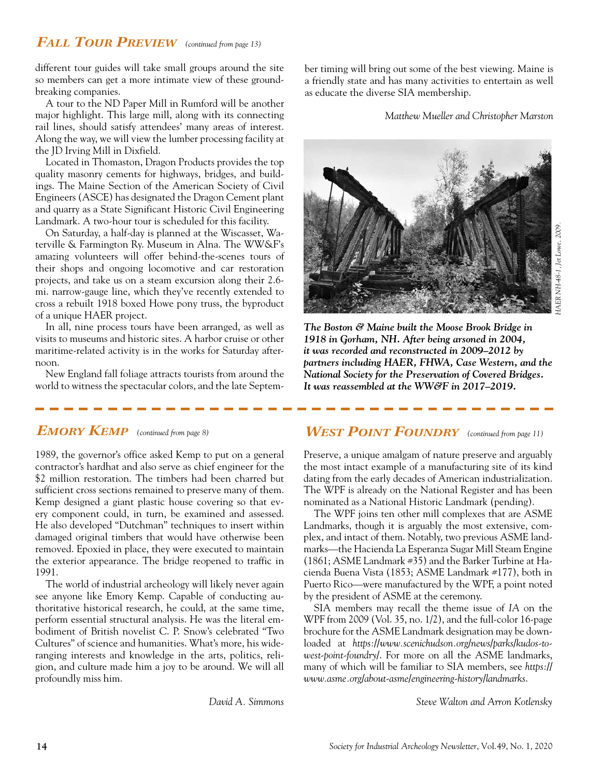#### *Fall Tour Preview (continued from page 13)*

different tour guides will take small groups around the site so members can get a more intimate view of these groundbreaking companies.

A tour to the ND Paper Mill in Rumford will be another major highlight. This large mill, along with its connecting rail lines, should satisfy attendees' many areas of interest. Along the way, we will view the lumber processing facility at the JD Irving Mill in Dixfield.

Located in Thomaston, Dragon Products provides the top quality masonry cements for highways, bridges, and buildings. The Maine Section of the American Society of Civil Engineers (ASCE) has designated the Dragon Cement plant and quarry as a State Significant Historic Civil Engineering Landmark. A two-hour tour is scheduled for this facility.

On Saturday, a half-day is planned at the Wiscasset, Waterville & Farmington Ry. Museum in Alna. The WW&F's amazing volunteers will offer behind-the-scenes tours of their shops and ongoing locomotive and car restoration projects, and take us on a steam excursion along their 2.6 mi. narrow-gauge line, which they've recently extended to cross a rebuilt 1918 boxed Howe pony truss, the byproduct of a unique HAER project.

In all, nine process tours have been arranged, as well as visits to museums and historic sites. A harbor cruise or other maritime-related activity is in the works for Saturday afternoon.

New England fall foliage attracts tourists from around the world to witness the spectacular colors, and the late September timing will bring out some of the best viewing. Maine is a friendly state and has many activities to entertain as well as educate the diverse SIA membership.

*Matthew Mueller and Christopher Marston*



*The Boston & Maine built the Moose Brook Bridge in 1918 in Gorham, NH. After being arsoned in 2004, it was recorded and reconstructed in 2009–2012 by partners including HAER, FHWA, Case Western, and the National Society for the Preservation of Covered Bridges. It was reassembled at the WW&F in 2017–2019.* 

1989, the governor's office asked Kemp to put on a general contractor's hardhat and also serve as chief engineer for the \$2 million restoration. The timbers had been charred but sufficient cross sections remained to preserve many of them. Kemp designed a giant plastic house covering so that every component could, in turn, be examined and assessed. He also developed "Dutchman" techniques to insert within damaged original timbers that would have otherwise been removed. Epoxied in place, they were executed to maintain the exterior appearance. The bridge reopened to traffic in 1991.

The world of industrial archeology will likely never again see anyone like Emory Kemp. Capable of conducting authoritative historical research, he could, at the same time, perform essential structural analysis. He was the literal embodiment of British novelist C. P. Snow's celebrated "Two Cultures" of science and humanities. What's more, his wideranging interests and knowledge in the arts, politics, religion, and culture made him a joy to be around. We will all profoundly miss him.

*David A. Simmons*

#### *EMORY KEMP* (continued from page 8) *WEST POINT FOUNDRY* (continued from page 11)

Preserve, a unique amalgam of nature preserve and arguably the most intact example of a manufacturing site of its kind dating from the early decades of American industrialization. The WPF is already on the National Register and has been nominated as a National Historic Landmark (pending).

The WPF joins ten other mill complexes that are ASME Landmarks, though it is arguably the most extensive, complex, and intact of them. Notably, two previous ASME landmarks—the Hacienda La Esperanza Sugar Mill Steam Engine (1861; ASME Landmark #35) and the Barker Turbine at Hacienda Buena Vista (1853; ASME Landmark #177), both in Puerto Rico—were manufactured by the WPF, a point noted by the president of ASME at the ceremony.

SIA members may recall the theme issue of *IA* on the WPF from 2009 (Vol. 35, no. 1/2), and the full-color 16-page brochure for the ASME Landmark designation may be downloaded at *https://www.scenichudson.org/news/parks/kudos-towest-point-foundry/*. For more on all the ASME landmarks, many of which will be familiar to SIA members, see *https:// www.asme.org/about-asme/engineering-history/landmarks*.

*Steve Walton and Arron Kotlensky*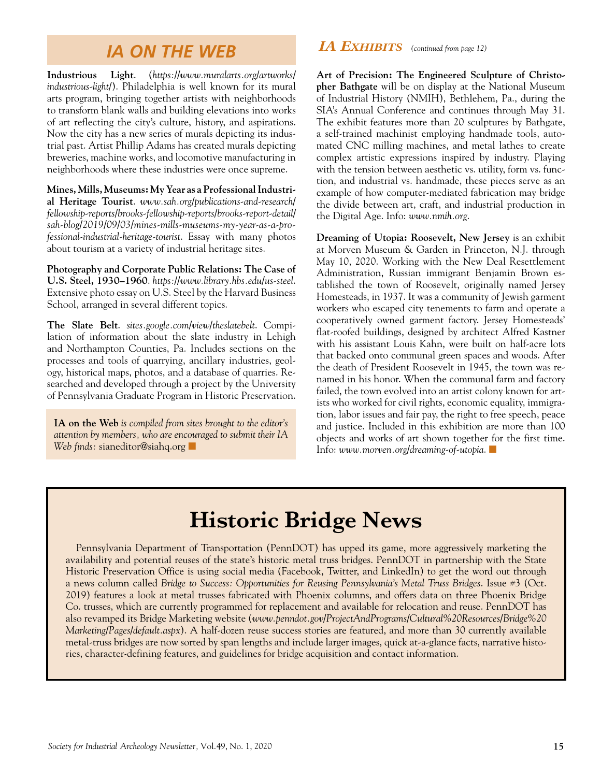### *IA ON THE WEB*

**Industrious Light**. (*https://www.muralarts.org/artworks/ industrious-light/*). Philadelphia is well known for its mural arts program, bringing together artists with neighborhoods to transform blank walls and building elevations into works of art reflecting the city's culture, history, and aspirations. Now the city has a new series of murals depicting its industrial past. Artist Phillip Adams has created murals depicting breweries, machine works, and locomotive manufacturing in neighborhoods where these industries were once supreme.

**Mines, Mills, Museums: My Year as a Professional Industrial Heritage Tourist**. *www.sah.org/publications-and-research/ fellowship-reports/brooks-fellowship-reports/brooks-report-detail/ sah-blog/2019/09/03/mines-mills-museums-my-year-as-a-professional-industrial-heritage-tourist*. Essay with many photos about tourism at a variety of industrial heritage sites.

**Photography and Corporate Public Relations: The Case of U.S. Steel, 1930–1960**. *https://www.library.hbs.edu/us-steel*. Extensive photo essay on U.S. Steel by the Harvard Business School, arranged in several different topics.

**The Slate Belt**. *sites.google.com/view/theslatebelt*. Compilation of information about the slate industry in Lehigh and Northampton Counties, Pa. Includes sections on the processes and tools of quarrying, ancillary industries, geology, historical maps, photos, and a database of quarries. Researched and developed through a project by the University of Pennsylvania Graduate Program in Historic Preservation.

**IA on the Web** *is compiled from sites brought to the editor's attention by members, who are encouraged to submit their IA*  Web finds: sianeditor@siahq.org

#### *IA Exhibits (continued from page 12)*

**Art of Precision: The Engineered Sculpture of Christopher Bathgate** will be on display at the National Museum of Industrial History (NMIH), Bethlehem, Pa., during the SIA's Annual Conference and continues through May 31. The exhibit features more than 20 sculptures by Bathgate, a self-trained machinist employing handmade tools, automated CNC milling machines, and metal lathes to create complex artistic expressions inspired by industry. Playing with the tension between aesthetic vs. utility, form vs. function, and industrial vs. handmade, these pieces serve as an example of how computer-mediated fabrication may bridge the divide between art, craft, and industrial production in the Digital Age. Info: *www.nmih.org*.

**Dreaming of Utopia: Roosevelt, New Jersey** is an exhibit at Morven Museum & Garden in Princeton, N.J. through May 10, 2020. Working with the New Deal Resettlement Administration, Russian immigrant Benjamin Brown established the town of Roosevelt, originally named Jersey Homesteads, in 1937. It was a community of Jewish garment workers who escaped city tenements to farm and operate a cooperatively owned garment factory. Jersey Homesteads' flat-roofed buildings, designed by architect Alfred Kastner with his assistant Louis Kahn, were built on half-acre lots that backed onto communal green spaces and woods. After the death of President Roosevelt in 1945, the town was renamed in his honor. When the communal farm and factory failed, the town evolved into an artist colony known for artists who worked for civil rights, economic equality, immigration, labor issues and fair pay, the right to free speech, peace and justice. Included in this exhibition are more than 100 objects and works of art shown together for the first time. Info: www.morven.org/dreaming-of-utopia.

# **Historic Bridge News**

Pennsylvania Department of Transportation (PennDOT) has upped its game, more aggressively marketing the availability and potential reuses of the state's historic metal truss bridges. PennDOT in partnership with the State Historic Preservation Office is using social media (Facebook, Twitter, and LinkedIn) to get the word out through a news column called *Bridge to Success: Opportunities for Reusing Pennsylvania's Metal Truss Bridges*. Issue #3 (Oct. 2019) features a look at metal trusses fabricated with Phoenix columns, and offers data on three Phoenix Bridge Co. trusses, which are currently programmed for replacement and available for relocation and reuse. PennDOT has also revamped its Bridge Marketing website (*www.penndot.gov/ProjectAndPrograms/Cultural%20Resources/Bridge%20 Marketing/Pages/default.aspx*). A half-dozen reuse success stories are featured, and more than 30 currently available metal-truss bridges are now sorted by span lengths and include larger images, quick at-a-glance facts, narrative histories, character-defining features, and guidelines for bridge acquisition and contact information.